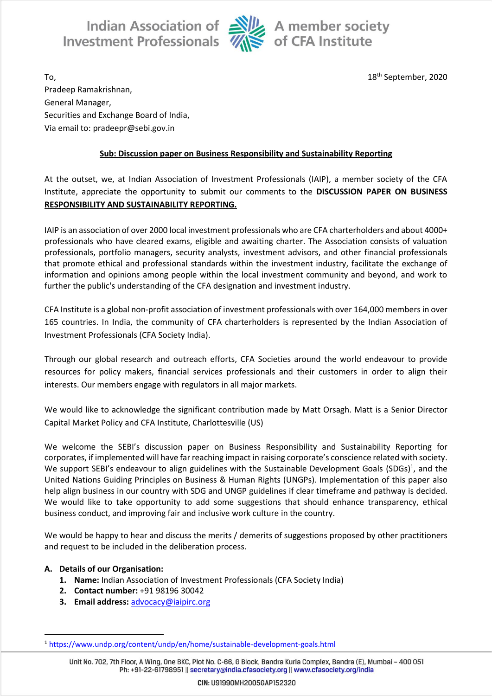Indian Association of Alle A member society<br>Investment Professionals  $\overline{\mathcal{U}}$  of CFA Institute



To, 18th September, 2020 Pradeep Ramakrishnan, General Manager, Securities and Exchange Board of India, Via email to: pradeepr@sebi.gov.in

#### **Sub: Discussion paper on Business Responsibility and Sustainability Reporting**

At the outset, we, at Indian Association of Investment Professionals (IAIP), a member society of the CFA Institute, appreciate the opportunity to submit our comments to the **DISCUSSION PAPER ON BUSINESS RESPONSIBILITY AND SUSTAINABILITY REPORTING.**

IAIP is an association of over 2000 local investment professionals who are CFA charterholders and about 4000+ professionals who have cleared exams, eligible and awaiting charter. The Association consists of valuation professionals, portfolio managers, security analysts, investment advisors, and other financial professionals that promote ethical and professional standards within the investment industry, facilitate the exchange of information and opinions among people within the local investment community and beyond, and work to further the public's understanding of the CFA designation and investment industry.

CFA Institute is a global non-profit association of investment professionals with over 164,000 members in over 165 countries. In India, the community of CFA charterholders is represented by the Indian Association of Investment Professionals (CFA Society India).

Through our global research and outreach efforts, CFA Societies around the world endeavour to provide resources for policy makers, financial services professionals and their customers in order to align their interests. Our members engage with regulators in all major markets.

We would like to acknowledge the significant contribution made by Matt Orsagh. Matt is a Senior Director Capital Market Policy and CFA Institute, Charlottesville (US)

We welcome the SEBI's discussion paper on Business Responsibility and Sustainability Reporting for corporates, if implemented will have far reaching impact in raising corporate's conscience related with society. We support SEBI's endeavour to align guidelines with the Sustainable Development Goals (SDGs)<sup>1</sup>, and the United Nations Guiding Principles on Business & Human Rights (UNGPs). Implementation of this paper also help align business in our country with SDG and UNGP guidelines if clear timeframe and pathway is decided. We would like to take opportunity to add some suggestions that should enhance transparency, ethical business conduct, and improving fair and inclusive work culture in the country.

We would be happy to hear and discuss the merits / demerits of suggestions proposed by other practitioners and request to be included in the deliberation process.

#### **A. Details of our Organisation:**

 $\overline{a}$ 

- **1. Name:** Indian Association of Investment Professionals (CFA Society India)
- **2. Contact number:** +91 98196 30042
- **3. Email address:** [advocacy@iaipirc.org](mailto:advocacy@iaipirc.org)

<sup>1</sup> <https://www.undp.org/content/undp/en/home/sustainable-development-goals.html>

Unit No. 702, 7th Floor, A Wing, One BKC, Plot No. C-66, G Block, Bandra Kurla Complex, Bandra (E), Mumbai - 400 051 Ph: +91-22-61798951 || secretary@india.cfasociety.org || www.cfasociety.org/india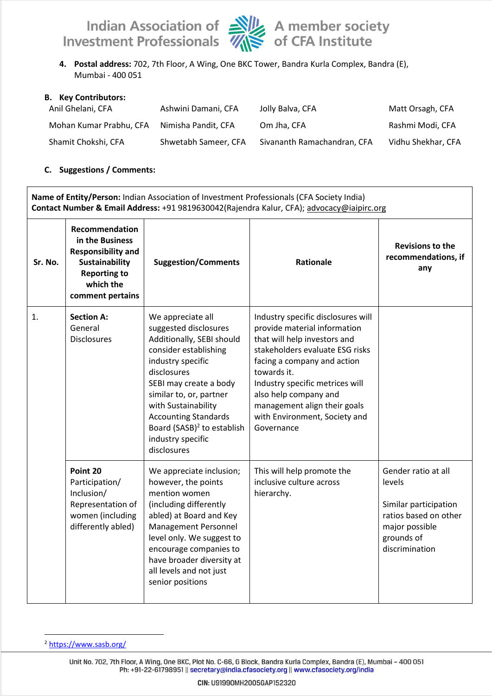

**4. Postal address:** 702, 7th Floor, A Wing, One BKC Tower, Bandra Kurla Complex, Bandra (E), Mumbai - 400 051

### **B. Key Contributors:**

 $\mathbf{r}$ 

| Anil Ghelani, CFA       | Ashwini Damani, CFA  | Jolly Balva, CFA            | Matt Orsagh, CFA   |
|-------------------------|----------------------|-----------------------------|--------------------|
| Mohan Kumar Prabhu, CFA | Nimisha Pandit, CFA  | Om Jha, CFA                 | Rashmi Modi, CFA   |
| Shamit Chokshi, CFA     | Shwetabh Sameer, CFA | Sivananth Ramachandran, CFA | Vidhu Shekhar, CFA |

#### **C. Suggestions / Comments:**

| Name of Entity/Person: Indian Association of Investment Professionals (CFA Society India)<br>Contact Number & Email Address: +91 9819630042(Rajendra Kalur, CFA); advocacy@iaipirc.org |                                                                                                                                                 |                                                                                                                                                                                                                                                                                                                               |                                                                                                                                                                                                                                                                                                                                |                                                                                                                                   |
|----------------------------------------------------------------------------------------------------------------------------------------------------------------------------------------|-------------------------------------------------------------------------------------------------------------------------------------------------|-------------------------------------------------------------------------------------------------------------------------------------------------------------------------------------------------------------------------------------------------------------------------------------------------------------------------------|--------------------------------------------------------------------------------------------------------------------------------------------------------------------------------------------------------------------------------------------------------------------------------------------------------------------------------|-----------------------------------------------------------------------------------------------------------------------------------|
| Sr. No.                                                                                                                                                                                | Recommendation<br>in the Business<br><b>Responsibility and</b><br><b>Sustainability</b><br><b>Reporting to</b><br>which the<br>comment pertains | <b>Suggestion/Comments</b>                                                                                                                                                                                                                                                                                                    | Rationale                                                                                                                                                                                                                                                                                                                      | <b>Revisions to the</b><br>recommendations, if<br>any                                                                             |
| 1.                                                                                                                                                                                     | <b>Section A:</b><br>General<br><b>Disclosures</b>                                                                                              | We appreciate all<br>suggested disclosures<br>Additionally, SEBI should<br>consider establishing<br>industry specific<br>disclosures<br>SEBI may create a body<br>similar to, or, partner<br>with Sustainability<br><b>Accounting Standards</b><br>Board (SASB) <sup>2</sup> to establish<br>industry specific<br>disclosures | Industry specific disclosures will<br>provide material information<br>that will help investors and<br>stakeholders evaluate ESG risks<br>facing a company and action<br>towards it.<br>Industry specific metrices will<br>also help company and<br>management align their goals<br>with Environment, Society and<br>Governance |                                                                                                                                   |
|                                                                                                                                                                                        | Point 20<br>Participation/<br>Inclusion/<br>Representation of<br>women (including<br>differently abled)                                         | We appreciate inclusion;<br>however, the points<br>mention women<br>(including differently<br>abled) at Board and Key<br>Management Personnel<br>level only. We suggest to<br>encourage companies to<br>have broader diversity at<br>all levels and not just<br>senior positions                                              | This will help promote the<br>inclusive culture across<br>hierarchy.                                                                                                                                                                                                                                                           | Gender ratio at all<br>levels<br>Similar participation<br>ratios based on other<br>major possible<br>grounds of<br>discrimination |

<sup>2</sup> <https://www.sasb.org/>

 $\overline{a}$ 

Unit No. 702, 7th Floor, A Wing, One BKC, Plot No. C-66, G Block, Bandra Kurla Complex, Bandra (E), Mumbai - 400 051 Ph: +91-22-61798951 || secretary@india.cfasociety.org || www.cfasociety.org/india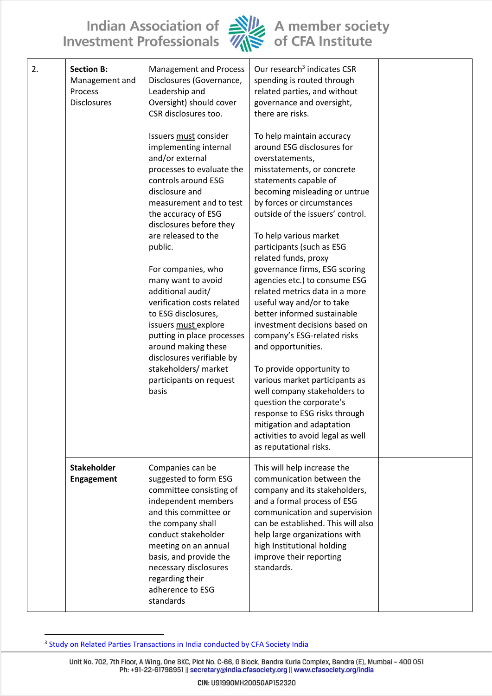

| 2. | <b>Section B:</b><br>Management and<br>Process<br><b>Disclosures</b> | <b>Management and Process</b><br>Disclosures (Governance,<br>Leadership and<br>Oversight) should cover<br>CSR disclosures too.<br>Issuers must consider<br>implementing internal<br>and/or external<br>processes to evaluate the<br>controls around ESG<br>disclosure and<br>measurement and to test<br>the accuracy of ESG<br>disclosures before they<br>are released to the<br>public.<br>For companies, who<br>many want to avoid<br>additional audit/<br>verification costs related<br>to ESG disclosures, | Our research <sup>3</sup> indicates CSR<br>spending is routed through<br>related parties, and without<br>governance and oversight,<br>there are risks.<br>To help maintain accuracy<br>around ESG disclosures for<br>overstatements,<br>misstatements, or concrete<br>statements capable of<br>becoming misleading or untrue<br>by forces or circumstances<br>outside of the issuers' control.<br>To help various market<br>participants (such as ESG<br>related funds, proxy<br>governance firms, ESG scoring<br>agencies etc.) to consume ESG<br>related metrics data in a more<br>useful way and/or to take<br>better informed sustainable |  |  |
|----|----------------------------------------------------------------------|----------------------------------------------------------------------------------------------------------------------------------------------------------------------------------------------------------------------------------------------------------------------------------------------------------------------------------------------------------------------------------------------------------------------------------------------------------------------------------------------------------------|-----------------------------------------------------------------------------------------------------------------------------------------------------------------------------------------------------------------------------------------------------------------------------------------------------------------------------------------------------------------------------------------------------------------------------------------------------------------------------------------------------------------------------------------------------------------------------------------------------------------------------------------------|--|--|
|    |                                                                      | issuers must explore<br>putting in place processes<br>around making these<br>disclosures verifiable by<br>stakeholders/ market<br>participants on request<br>basis                                                                                                                                                                                                                                                                                                                                             | investment decisions based on<br>company's ESG-related risks<br>and opportunities.<br>To provide opportunity to<br>various market participants as<br>well company stakeholders to<br>question the corporate's<br>response to ESG risks through<br>mitigation and adaptation<br>activities to avoid legal as well<br>as reputational risks.                                                                                                                                                                                                                                                                                                    |  |  |
|    | <b>Stakeholder</b><br>Engagement                                     | Companies can be<br>suggested to form ESG<br>committee consisting of<br>independent members<br>and this committee or<br>the company shall<br>conduct stakeholder<br>meeting on an annual<br>basis, and provide the<br>necessary disclosures<br>regarding their<br>adherence to ESG<br>standards                                                                                                                                                                                                                | This will help increase the<br>communication between the<br>company and its stakeholders,<br>and a formal process of ESG<br>communication and supervision<br>can be established. This will also<br>help large organizations with<br>high Institutional holding<br>improve their reporting<br>standards.                                                                                                                                                                                                                                                                                                                                       |  |  |

 $\overline{a}$ 

Unit No. 702, 7th Floor, A Wing, One BKC, Plot No. C-66, G Block, Bandra Kurla Complex, Bandra (E), Mumbai - 400 051 Ph: +91-22-61798951 || secretary@india.cfasociety.org || www.cfasociety.org/india

<sup>&</sup>lt;sup>3</sup> [Study on Related Parties Transactions in India conducted by CFA Society India](https://www.arx.cfa/~/media/C909DD5AC10B4341AF34E4F9E439E99D.ashx)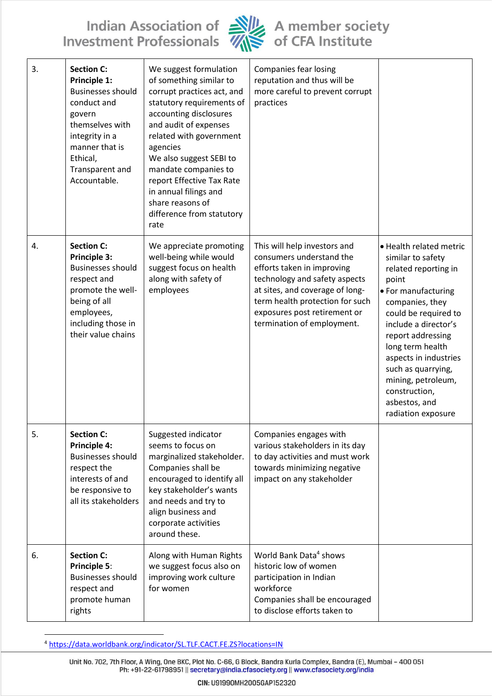

| 3. | <b>Section C:</b><br>Principle 1:<br><b>Businesses should</b><br>conduct and<br>govern<br>themselves with<br>integrity in a<br>manner that is<br>Ethical,<br>Transparent and<br>Accountable. | We suggest formulation<br>of something similar to<br>corrupt practices act, and<br>statutory requirements of<br>accounting disclosures<br>and audit of expenses<br>related with government<br>agencies<br>We also suggest SEBI to<br>mandate companies to<br>report Effective Tax Rate<br>in annual filings and<br>share reasons of<br>difference from statutory<br>rate | Companies fear losing<br>reputation and thus will be<br>more careful to prevent corrupt<br>practices                                                                                                                                                        |                                                                                                                                                                                                                                                                                                                                               |
|----|----------------------------------------------------------------------------------------------------------------------------------------------------------------------------------------------|--------------------------------------------------------------------------------------------------------------------------------------------------------------------------------------------------------------------------------------------------------------------------------------------------------------------------------------------------------------------------|-------------------------------------------------------------------------------------------------------------------------------------------------------------------------------------------------------------------------------------------------------------|-----------------------------------------------------------------------------------------------------------------------------------------------------------------------------------------------------------------------------------------------------------------------------------------------------------------------------------------------|
| 4. | <b>Section C:</b><br><b>Principle 3:</b><br><b>Businesses should</b><br>respect and<br>promote the well-<br>being of all<br>employees,<br>including those in<br>their value chains           | We appreciate promoting<br>well-being while would<br>suggest focus on health<br>along with safety of<br>employees                                                                                                                                                                                                                                                        | This will help investors and<br>consumers understand the<br>efforts taken in improving<br>technology and safety aspects<br>at sites, and coverage of long-<br>term health protection for such<br>exposures post retirement or<br>termination of employment. | • Health related metric<br>similar to safety<br>related reporting in<br>point<br>• For manufacturing<br>companies, they<br>could be required to<br>include a director's<br>report addressing<br>long term health<br>aspects in industries<br>such as quarrying,<br>mining, petroleum,<br>construction,<br>asbestos, and<br>radiation exposure |
| 5. | <b>Section C:</b><br>Principle 4:<br><b>Businesses should</b><br>respect the<br>interests of and<br>be responsive to<br>all its stakeholders                                                 | Suggested indicator<br>seems to focus on<br>marginalized stakeholder.<br>Companies shall be<br>encouraged to identify all<br>key stakeholder's wants<br>and needs and try to<br>align business and<br>corporate activities<br>around these.                                                                                                                              | Companies engages with<br>various stakeholders in its day<br>to day activities and must work<br>towards minimizing negative<br>impact on any stakeholder                                                                                                    |                                                                                                                                                                                                                                                                                                                                               |
| 6. | <b>Section C:</b><br>Principle 5:<br><b>Businesses should</b><br>respect and<br>promote human<br>rights                                                                                      | Along with Human Rights<br>we suggest focus also on<br>improving work culture<br>for women                                                                                                                                                                                                                                                                               | World Bank Data <sup>4</sup> shows<br>historic low of women<br>participation in Indian<br>workforce<br>Companies shall be encouraged<br>to disclose efforts taken to                                                                                        |                                                                                                                                                                                                                                                                                                                                               |

<sup>4</sup> https://data.worldbank.org/indicator/SL.TLF.CACT.FE.ZS?locations=IN

Unit No. 702, 7th Floor, A Wing, One BKC, Plot No. C-66, G Block, Bandra Kurla Complex, Bandra (E), Mumbai - 400 051<br>Ph: +91-22-61798951 || secretary@india.cfasociety.org || www.cfasociety.org/india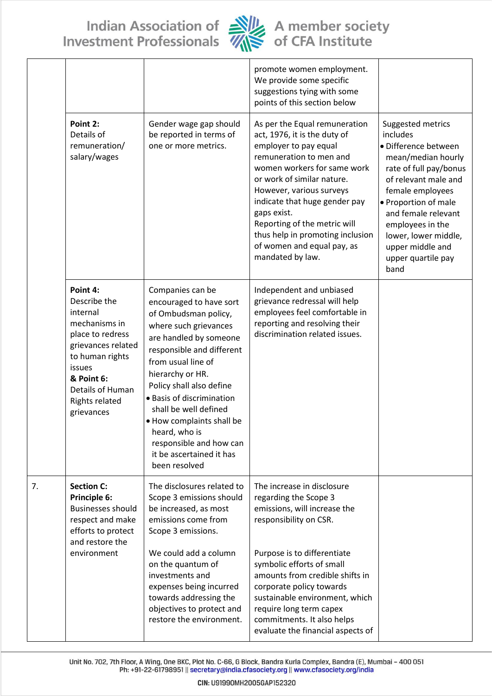

|    |                                                                                                                                                                                                |                                                                                                                                                                                                                                                                                                                                                                                                       | promote women employment.<br>We provide some specific<br>suggestions tying with some<br>points of this section below                                                                                                                                                                                                                                                             |                                                                                                                                                                                                                                                                                                |
|----|------------------------------------------------------------------------------------------------------------------------------------------------------------------------------------------------|-------------------------------------------------------------------------------------------------------------------------------------------------------------------------------------------------------------------------------------------------------------------------------------------------------------------------------------------------------------------------------------------------------|----------------------------------------------------------------------------------------------------------------------------------------------------------------------------------------------------------------------------------------------------------------------------------------------------------------------------------------------------------------------------------|------------------------------------------------------------------------------------------------------------------------------------------------------------------------------------------------------------------------------------------------------------------------------------------------|
|    | Point 2:<br>Details of<br>remuneration/<br>salary/wages                                                                                                                                        | Gender wage gap should<br>be reported in terms of<br>one or more metrics.                                                                                                                                                                                                                                                                                                                             | As per the Equal remuneration<br>act, 1976, it is the duty of<br>employer to pay equal<br>remuneration to men and<br>women workers for same work<br>or work of similar nature.<br>However, various surveys<br>indicate that huge gender pay<br>gaps exist.<br>Reporting of the metric will<br>thus help in promoting inclusion<br>of women and equal pay, as<br>mandated by law. | Suggested metrics<br>includes<br>· Difference between<br>mean/median hourly<br>rate of full pay/bonus<br>of relevant male and<br>female employees<br>• Proportion of male<br>and female relevant<br>employees in the<br>lower, lower middle,<br>upper middle and<br>upper quartile pay<br>band |
|    | Point 4:<br>Describe the<br>internal<br>mechanisms in<br>place to redress<br>grievances related<br>to human rights<br>issues<br>& Point 6:<br>Details of Human<br>Rights related<br>grievances | Companies can be<br>encouraged to have sort<br>of Ombudsman policy,<br>where such grievances<br>are handled by someone<br>responsible and different<br>from usual line of<br>hierarchy or HR.<br>Policy shall also define<br>• Basis of discrimination<br>shall be well defined<br>. How complaints shall be<br>heard, who is<br>responsible and how can<br>it be ascertained it has<br>been resolved | Independent and unbiased<br>grievance redressal will help<br>employees feel comfortable in<br>reporting and resolving their<br>discrimination related issues.                                                                                                                                                                                                                    |                                                                                                                                                                                                                                                                                                |
| 7. | <b>Section C:</b><br><b>Principle 6:</b><br><b>Businesses should</b><br>respect and make<br>efforts to protect<br>and restore the<br>environment                                               | The disclosures related to<br>Scope 3 emissions should<br>be increased, as most<br>emissions come from<br>Scope 3 emissions.<br>We could add a column<br>on the quantum of<br>investments and<br>expenses being incurred                                                                                                                                                                              | The increase in disclosure<br>regarding the Scope 3<br>emissions, will increase the<br>responsibility on CSR.<br>Purpose is to differentiate<br>symbolic efforts of small<br>amounts from credible shifts in<br>corporate policy towards                                                                                                                                         |                                                                                                                                                                                                                                                                                                |
|    |                                                                                                                                                                                                | towards addressing the<br>objectives to protect and<br>restore the environment.                                                                                                                                                                                                                                                                                                                       | sustainable environment, which<br>require long term capex<br>commitments. It also helps<br>evaluate the financial aspects of                                                                                                                                                                                                                                                     |                                                                                                                                                                                                                                                                                                |

Unit No. 702, 7th Floor, A Wing, One BKC, Plot No. C-66, G Block, Bandra Kurla Complex, Bandra (E), Mumbai - 400 051<br>Ph: +91-22-61798951 || secretary@india.cfasociety.org || www.cfasociety.org/india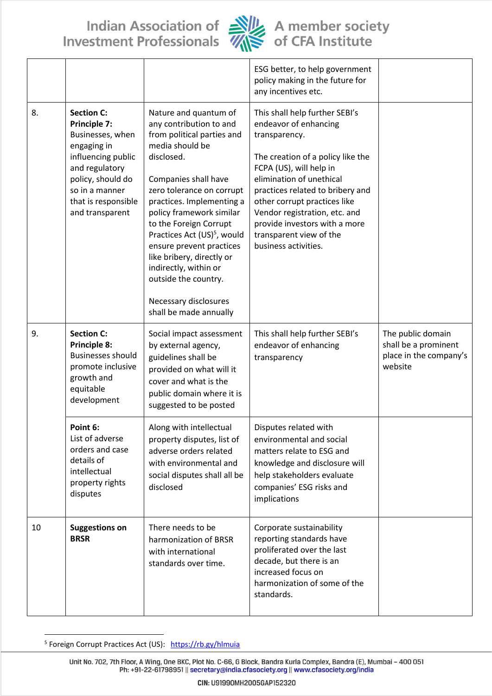

|    |                                                                                                                                                                                               |                                                                                                                                                                                                                                                                                                                                                                                                                                                                 | ESG better, to help government<br>policy making in the future for<br>any incentives etc.                                                                                                                                                                                                                                                                      |                                                                                |
|----|-----------------------------------------------------------------------------------------------------------------------------------------------------------------------------------------------|-----------------------------------------------------------------------------------------------------------------------------------------------------------------------------------------------------------------------------------------------------------------------------------------------------------------------------------------------------------------------------------------------------------------------------------------------------------------|---------------------------------------------------------------------------------------------------------------------------------------------------------------------------------------------------------------------------------------------------------------------------------------------------------------------------------------------------------------|--------------------------------------------------------------------------------|
| 8. | <b>Section C:</b><br>Principle 7:<br>Businesses, when<br>engaging in<br>influencing public<br>and regulatory<br>policy, should do<br>so in a manner<br>that is responsible<br>and transparent | Nature and quantum of<br>any contribution to and<br>from political parties and<br>media should be<br>disclosed.<br>Companies shall have<br>zero tolerance on corrupt<br>practices. Implementing a<br>policy framework similar<br>to the Foreign Corrupt<br>Practices Act (US) <sup>5</sup> , would<br>ensure prevent practices<br>like bribery, directly or<br>indirectly, within or<br>outside the country.<br>Necessary disclosures<br>shall be made annually | This shall help further SEBI's<br>endeavor of enhancing<br>transparency.<br>The creation of a policy like the<br>FCPA (US), will help in<br>elimination of unethical<br>practices related to bribery and<br>other corrupt practices like<br>Vendor registration, etc. and<br>provide investors with a more<br>transparent view of the<br>business activities. |                                                                                |
| 9. | <b>Section C:</b><br>Principle 8:<br><b>Businesses should</b><br>promote inclusive<br>growth and<br>equitable<br>development                                                                  | Social impact assessment<br>by external agency,<br>guidelines shall be<br>provided on what will it<br>cover and what is the<br>public domain where it is<br>suggested to be posted                                                                                                                                                                                                                                                                              | This shall help further SEBI's<br>endeavor of enhancing<br>transparency                                                                                                                                                                                                                                                                                       | The public domain<br>shall be a prominent<br>place in the company's<br>website |
|    | Point 6:<br>List of adverse<br>orders and case<br>details of<br>intellectual<br>property rights<br>disputes                                                                                   | Along with intellectual<br>property disputes, list of<br>adverse orders related<br>with environmental and<br>social disputes shall all be<br>disclosed                                                                                                                                                                                                                                                                                                          | Disputes related with<br>environmental and social<br>matters relate to ESG and<br>knowledge and disclosure will<br>help stakeholders evaluate<br>companies' ESG risks and<br>implications                                                                                                                                                                     |                                                                                |
| 10 | <b>Suggestions on</b><br><b>BRSR</b>                                                                                                                                                          | There needs to be<br>harmonization of BRSR<br>with international<br>standards over time.                                                                                                                                                                                                                                                                                                                                                                        | Corporate sustainability<br>reporting standards have<br>proliferated over the last<br>decade, but there is an<br>increased focus on<br>harmonization of some of the<br>standards.                                                                                                                                                                             |                                                                                |

<sup>&</sup>lt;sup>5</sup> Foreign Corrupt Practices Act (US): https://rb.gy/hlmuia

Unit No. 702, 7th Floor, A Wing, One BKC, Plot No. C-66, G Block, Bandra Kurla Complex, Bandra (E), Mumbai - 400 051 Ph: +91-22-61798951 || secretary@india.cfasociety.org || www.cfasociety.org/india